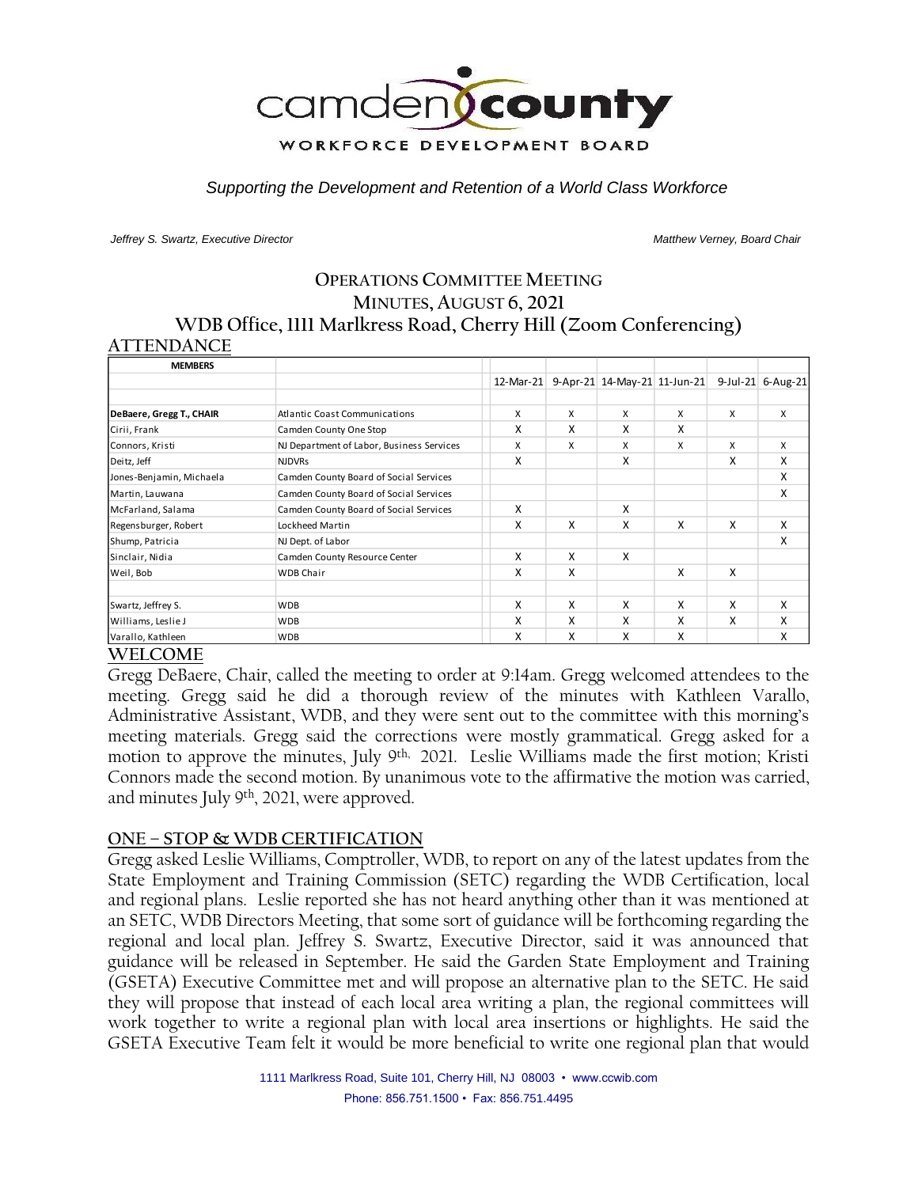

*Supporting the Development and Retention of a World Class Workforce*

*Jeffrey S. Swartz, Executive Director Matthew Verney, Board Chair* 

## **OPERATIONS COMMITTEE MEETING MINUTES, AUGUST 6, 2021 WDB Office, 1111 Marlkress Road, Cherry Hill (Zoom Conferencing) ATTENDANCE**

| <b>MEMBERS</b>           |                                           |              |   |                              |   |   |                   |
|--------------------------|-------------------------------------------|--------------|---|------------------------------|---|---|-------------------|
|                          |                                           | $12$ -Mar-21 |   | 9-Apr-21 14-May-21 11-Jun-21 |   |   | 9-Jul-21 6-Aug-21 |
|                          |                                           |              |   |                              |   |   |                   |
| DeBaere, Gregg T., CHAIR | <b>Atlantic Coast Communications</b>      | X            | X | x                            | X | X | X                 |
| Cirii, Frank             | Camden County One Stop                    | X            | x | X                            | X |   |                   |
| Connors, Kristi          | NJ Department of Labor, Business Services | X            | X | X                            | X | X | X                 |
| Deitz, Jeff              | <b>NJDVRs</b>                             | X            |   | X                            |   | X | X                 |
| Jones-Benjamin, Michaela | Camden County Board of Social Services    |              |   |                              |   |   | X                 |
| Martin, Lauwana          | Camden County Board of Social Services    |              |   |                              |   |   | X                 |
| McFarland, Salama        | Camden County Board of Social Services    | X            |   | X                            |   |   |                   |
| Regensburger, Robert     | Lockheed Martin                           | X            | x | x                            | X | X | X                 |
| Shump, Patricia          | NJ Dept. of Labor                         |              |   |                              |   |   | X                 |
| Sinclair, Nidia          | Camden County Resource Center             | X            | X | X                            |   |   |                   |
| Weil, Bob                | <b>WDB Chair</b>                          | X            | X |                              | X | X |                   |
| Swartz, Jeffrey S.       | <b>WDB</b>                                | X            | x | x                            | X | X | X                 |
| Williams, Leslie J       | <b>WDB</b>                                | X            | X | X                            | X | X | X                 |
| Varallo, Kathleen        | <b>WDB</b>                                | X            | x | x                            | X |   | x                 |

## **WELCOME**

Gregg DeBaere, Chair, called the meeting to order at 9:14am. Gregg welcomed attendees to the meeting. Gregg said he did a thorough review of the minutes with Kathleen Varallo, Administrative Assistant, WDB, and they were sent out to the committee with this morning's meeting materials. Gregg said the corrections were mostly grammatical. Gregg asked for a motion to approve the minutes, July 9<sup>th,</sup> 2021. Leslie Williams made the first motion; Kristi Connors made the second motion. By unanimous vote to the affirmative the motion was carried, and minutes July 9th , 2021, were approved.

#### **ONE – STOP & WDB CERTIFICATION**

Gregg asked Leslie Williams, Comptroller, WDB, to report on any of the latest updates from the State Employment and Training Commission (SETC) regarding the WDB Certification, local and regional plans. Leslie reported she has not heard anything other than it was mentioned at an SETC, WDB Directors Meeting, that some sort of guidance will be forthcoming regarding the regional and local plan. Jeffrey S. Swartz, Executive Director, said it was announced that guidance will be released in September. He said the Garden State Employment and Training (GSETA) Executive Committee met and will propose an alternative plan to the SETC. He said they will propose that instead of each local area writing a plan, the regional committees will work together to write a regional plan with local area insertions or highlights. He said the GSETA Executive Team felt it would be more beneficial to write one regional plan that would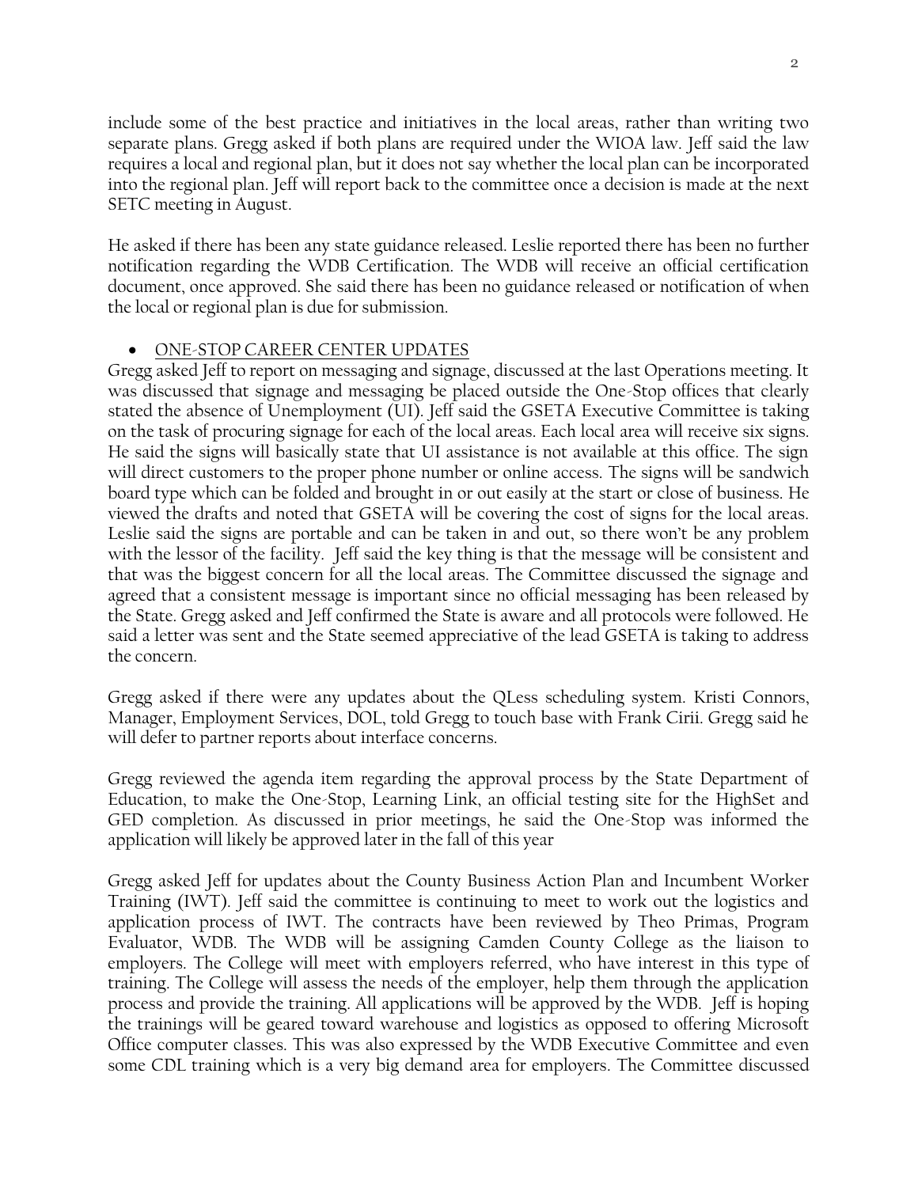include some of the best practice and initiatives in the local areas, rather than writing two separate plans. Gregg asked if both plans are required under the WIOA law. Jeff said the law requires a local and regional plan, but it does not say whether the local plan can be incorporated into the regional plan. Jeff will report back to the committee once a decision is made at the next SETC meeting in August.

He asked if there has been any state guidance released. Leslie reported there has been no further notification regarding the WDB Certification. The WDB will receive an official certification document, once approved. She said there has been no guidance released or notification of when the local or regional plan is due for submission.

## • ONE-STOP CAREER CENTER UPDATES

Gregg asked Jeff to report on messaging and signage, discussed at the last Operations meeting. It was discussed that signage and messaging be placed outside the One-Stop offices that clearly stated the absence of Unemployment (UI). Jeff said the GSETA Executive Committee is taking on the task of procuring signage for each of the local areas. Each local area will receive six signs. He said the signs will basically state that UI assistance is not available at this office. The sign will direct customers to the proper phone number or online access. The signs will be sandwich board type which can be folded and brought in or out easily at the start or close of business. He viewed the drafts and noted that GSETA will be covering the cost of signs for the local areas. Leslie said the signs are portable and can be taken in and out, so there won't be any problem with the lessor of the facility. Jeff said the key thing is that the message will be consistent and that was the biggest concern for all the local areas. The Committee discussed the signage and agreed that a consistent message is important since no official messaging has been released by the State. Gregg asked and Jeff confirmed the State is aware and all protocols were followed. He said a letter was sent and the State seemed appreciative of the lead GSETA is taking to address the concern.

Gregg asked if there were any updates about the QLess scheduling system. Kristi Connors, Manager, Employment Services, DOL, told Gregg to touch base with Frank Cirii. Gregg said he will defer to partner reports about interface concerns.

Gregg reviewed the agenda item regarding the approval process by the State Department of Education, to make the One-Stop, Learning Link, an official testing site for the HighSet and GED completion. As discussed in prior meetings, he said the One-Stop was informed the application will likely be approved later in the fall of this year

Gregg asked Jeff for updates about the County Business Action Plan and Incumbent Worker Training (IWT). Jeff said the committee is continuing to meet to work out the logistics and application process of IWT. The contracts have been reviewed by Theo Primas, Program Evaluator, WDB. The WDB will be assigning Camden County College as the liaison to employers. The College will meet with employers referred, who have interest in this type of training. The College will assess the needs of the employer, help them through the application process and provide the training. All applications will be approved by the WDB. Jeff is hoping the trainings will be geared toward warehouse and logistics as opposed to offering Microsoft Office computer classes. This was also expressed by the WDB Executive Committee and even some CDL training which is a very big demand area for employers. The Committee discussed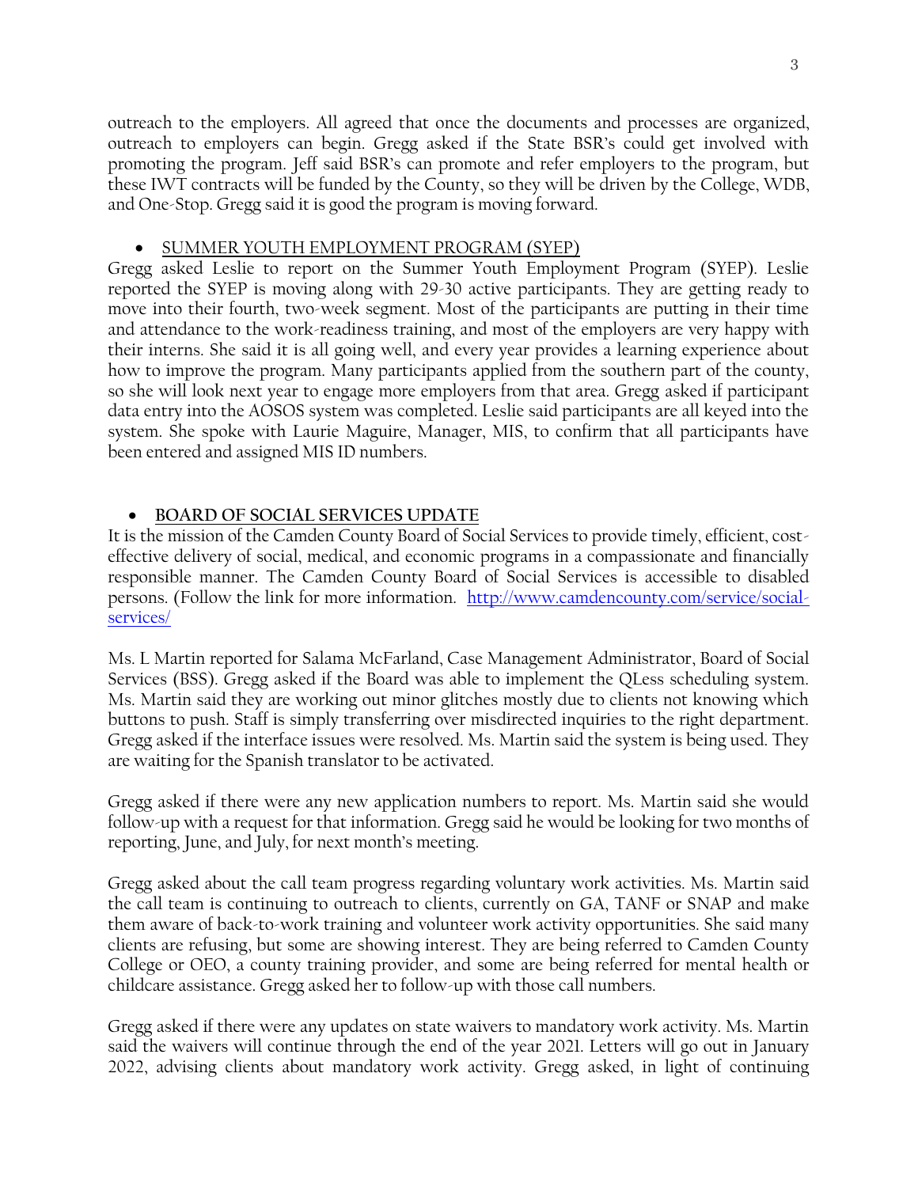outreach to the employers. All agreed that once the documents and processes are organized, outreach to employers can begin. Gregg asked if the State BSR's could get involved with promoting the program. Jeff said BSR's can promote and refer employers to the program, but these IWT contracts will be funded by the County, so they will be driven by the College, WDB, and One-Stop. Gregg said it is good the program is moving forward.

#### • SUMMER YOUTH EMPLOYMENT PROGRAM (SYEP)

Gregg asked Leslie to report on the Summer Youth Employment Program (SYEP). Leslie reported the SYEP is moving along with 29-30 active participants. They are getting ready to move into their fourth, two-week segment. Most of the participants are putting in their time and attendance to the work-readiness training, and most of the employers are very happy with their interns. She said it is all going well, and every year provides a learning experience about how to improve the program. Many participants applied from the southern part of the county, so she will look next year to engage more employers from that area. Gregg asked if participant data entry into the AOSOS system was completed. Leslie said participants are all keyed into the system. She spoke with Laurie Maguire, Manager, MIS, to confirm that all participants have been entered and assigned MIS ID numbers.

## • **BOARD OF SOCIAL SERVICES UPDATE**

It is the mission of the Camden County Board of Social Services to provide timely, efficient, costeffective delivery of social, medical, and economic programs in a compassionate and financially responsible manner. The Camden County Board of Social Services is accessible to disabled persons. (Follow the link for more information. [http://www.camdencounty.com/service/social](http://www.camdencounty.com/service/social-services/)[services/](http://www.camdencounty.com/service/social-services/)

Ms. L Martin reported for Salama McFarland, Case Management Administrator, Board of Social Services (BSS). Gregg asked if the Board was able to implement the QLess scheduling system. Ms. Martin said they are working out minor glitches mostly due to clients not knowing which buttons to push. Staff is simply transferring over misdirected inquiries to the right department. Gregg asked if the interface issues were resolved. Ms. Martin said the system is being used. They are waiting for the Spanish translator to be activated.

Gregg asked if there were any new application numbers to report. Ms. Martin said she would follow-up with a request for that information. Gregg said he would be looking for two months of reporting, June, and July, for next month's meeting.

Gregg asked about the call team progress regarding voluntary work activities. Ms. Martin said the call team is continuing to outreach to clients, currently on GA, TANF or SNAP and make them aware of back-to-work training and volunteer work activity opportunities. She said many clients are refusing, but some are showing interest. They are being referred to Camden County College or OEO, a county training provider, and some are being referred for mental health or childcare assistance. Gregg asked her to follow-up with those call numbers.

Gregg asked if there were any updates on state waivers to mandatory work activity. Ms. Martin said the waivers will continue through the end of the year 2021. Letters will go out in January 2022, advising clients about mandatory work activity. Gregg asked, in light of continuing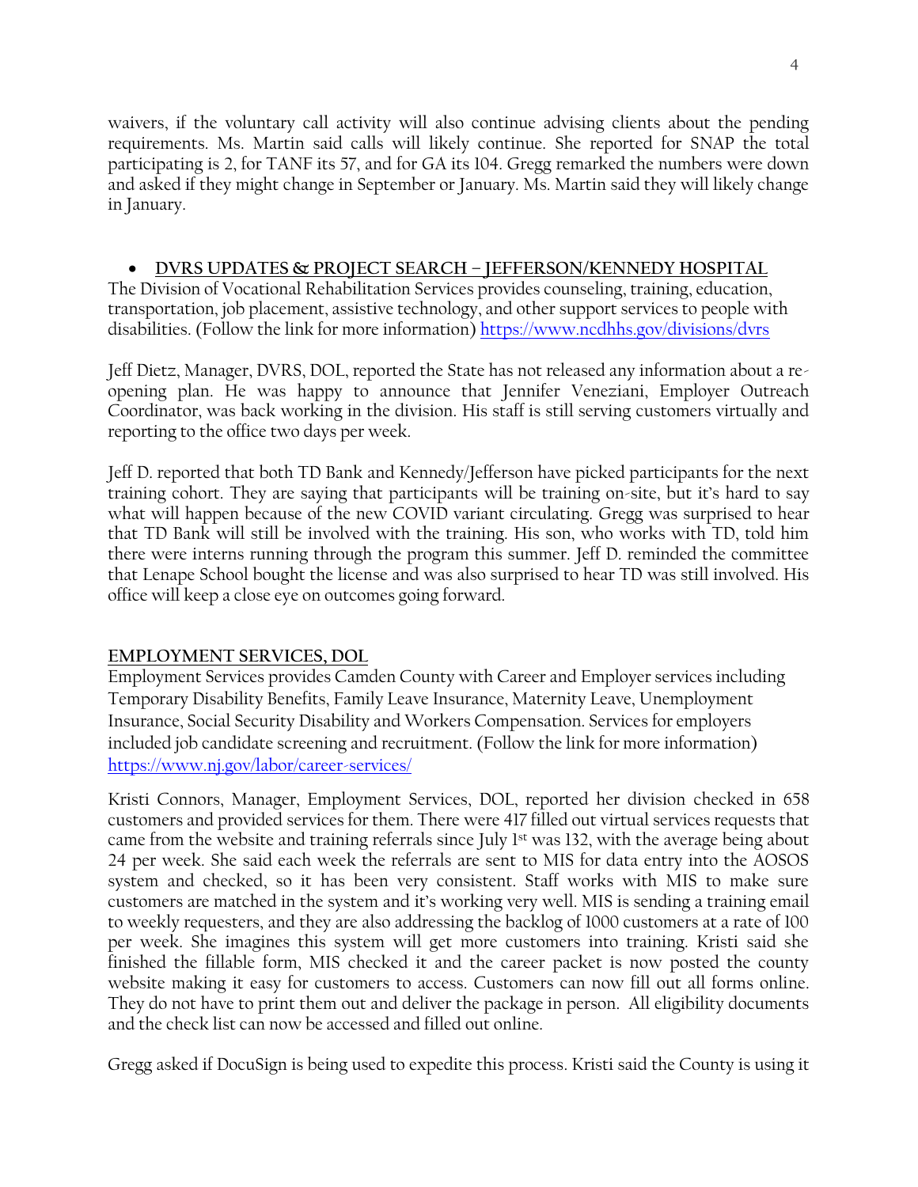waivers, if the voluntary call activity will also continue advising clients about the pending requirements. Ms. Martin said calls will likely continue. She reported for SNAP the total participating is 2, for TANF its 57, and for GA its 104. Gregg remarked the numbers were down and asked if they might change in September or January. Ms. Martin said they will likely change in January.

## • **DVRS UPDATES & PROJECT SEARCH – JEFFERSON/KENNEDY HOSPITAL**

The Division of Vocational Rehabilitation Services provides counseling, training, education, transportation, job placement, assistive technology, and other support services to people with disabilities. (Follow the link for more information)<https://www.ncdhhs.gov/divisions/dvrs>

Jeff Dietz, Manager, DVRS, DOL, reported the State has not released any information about a reopening plan. He was happy to announce that Jennifer Veneziani, Employer Outreach Coordinator, was back working in the division. His staff is still serving customers virtually and reporting to the office two days per week.

Jeff D. reported that both TD Bank and Kennedy/Jefferson have picked participants for the next training cohort. They are saying that participants will be training on-site, but it's hard to say what will happen because of the new COVID variant circulating. Gregg was surprised to hear that TD Bank will still be involved with the training. His son, who works with TD, told him there were interns running through the program this summer. Jeff D. reminded the committee that Lenape School bought the license and was also surprised to hear TD was still involved. His office will keep a close eye on outcomes going forward.

# **EMPLOYMENT SERVICES, DOL**

Employment Services provides Camden County with Career and Employer services including Temporary Disability Benefits, Family Leave Insurance, Maternity Leave, Unemployment Insurance, Social Security Disability and Workers Compensation. Services for employers included job candidate screening and recruitment. (Follow the link for more information) <https://www.nj.gov/labor/career-services/>

Kristi Connors, Manager, Employment Services, DOL, reported her division checked in 658 customers and provided services for them. There were 417 filled out virtual services requests that came from the website and training referrals since July 1<sup>st</sup> was 132, with the average being about 24 per week. She said each week the referrals are sent to MIS for data entry into the AOSOS system and checked, so it has been very consistent. Staff works with MIS to make sure customers are matched in the system and it's working very well. MIS is sending a training email to weekly requesters, and they are also addressing the backlog of 1000 customers at a rate of 100 per week. She imagines this system will get more customers into training. Kristi said she finished the fillable form, MIS checked it and the career packet is now posted the county website making it easy for customers to access. Customers can now fill out all forms online. They do not have to print them out and deliver the package in person. All eligibility documents and the check list can now be accessed and filled out online.

Gregg asked if DocuSign is being used to expedite this process. Kristi said the County is using it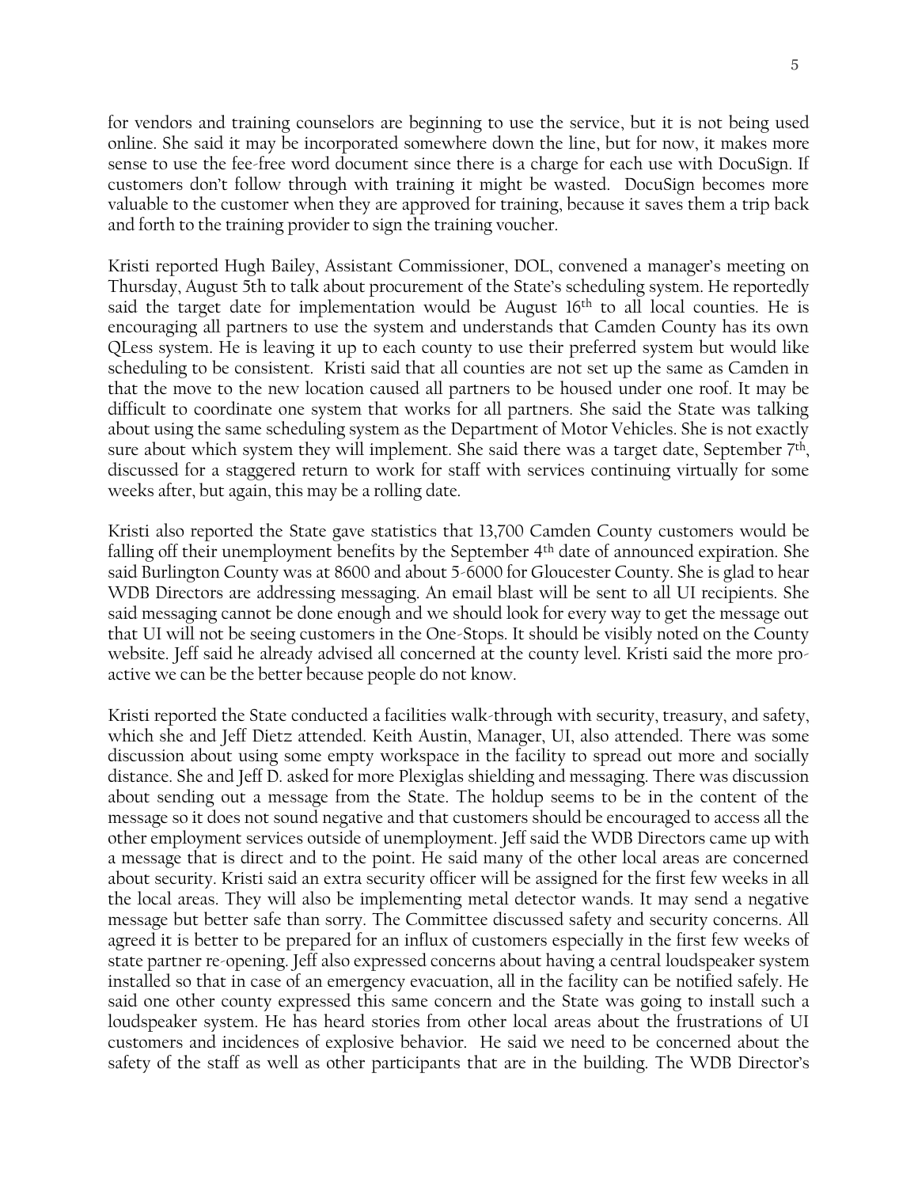for vendors and training counselors are beginning to use the service, but it is not being used online. She said it may be incorporated somewhere down the line, but for now, it makes more sense to use the fee-free word document since there is a charge for each use with DocuSign. If customers don't follow through with training it might be wasted. DocuSign becomes more valuable to the customer when they are approved for training, because it saves them a trip back and forth to the training provider to sign the training voucher.

Kristi reported Hugh Bailey, Assistant Commissioner, DOL, convened a manager's meeting on Thursday, August 5th to talk about procurement of the State's scheduling system. He reportedly said the target date for implementation would be August  $16<sup>th</sup>$  to all local counties. He is encouraging all partners to use the system and understands that Camden County has its own QLess system. He is leaving it up to each county to use their preferred system but would like scheduling to be consistent. Kristi said that all counties are not set up the same as Camden in that the move to the new location caused all partners to be housed under one roof. It may be difficult to coordinate one system that works for all partners. She said the State was talking about using the same scheduling system as the Department of Motor Vehicles. She is not exactly sure about which system they will implement. She said there was a target date, September  $7<sup>th</sup>$ , discussed for a staggered return to work for staff with services continuing virtually for some weeks after, but again, this may be a rolling date.

Kristi also reported the State gave statistics that 13,700 Camden County customers would be falling off their unemployment benefits by the September 4<sup>th</sup> date of announced expiration. She said Burlington County was at 8600 and about 5-6000 for Gloucester County. She is glad to hear WDB Directors are addressing messaging. An email blast will be sent to all UI recipients. She said messaging cannot be done enough and we should look for every way to get the message out that UI will not be seeing customers in the One-Stops. It should be visibly noted on the County website. Jeff said he already advised all concerned at the county level. Kristi said the more proactive we can be the better because people do not know.

Kristi reported the State conducted a facilities walk-through with security, treasury, and safety, which she and Jeff Dietz attended. Keith Austin, Manager, UI, also attended. There was some discussion about using some empty workspace in the facility to spread out more and socially distance. She and Jeff D. asked for more Plexiglas shielding and messaging. There was discussion about sending out a message from the State. The holdup seems to be in the content of the message so it does not sound negative and that customers should be encouraged to access all the other employment services outside of unemployment. Jeff said the WDB Directors came up with a message that is direct and to the point. He said many of the other local areas are concerned about security. Kristi said an extra security officer will be assigned for the first few weeks in all the local areas. They will also be implementing metal detector wands. It may send a negative message but better safe than sorry. The Committee discussed safety and security concerns. All agreed it is better to be prepared for an influx of customers especially in the first few weeks of state partner re-opening. Jeff also expressed concerns about having a central loudspeaker system installed so that in case of an emergency evacuation, all in the facility can be notified safely. He said one other county expressed this same concern and the State was going to install such a loudspeaker system. He has heard stories from other local areas about the frustrations of UI customers and incidences of explosive behavior. He said we need to be concerned about the safety of the staff as well as other participants that are in the building. The WDB Director's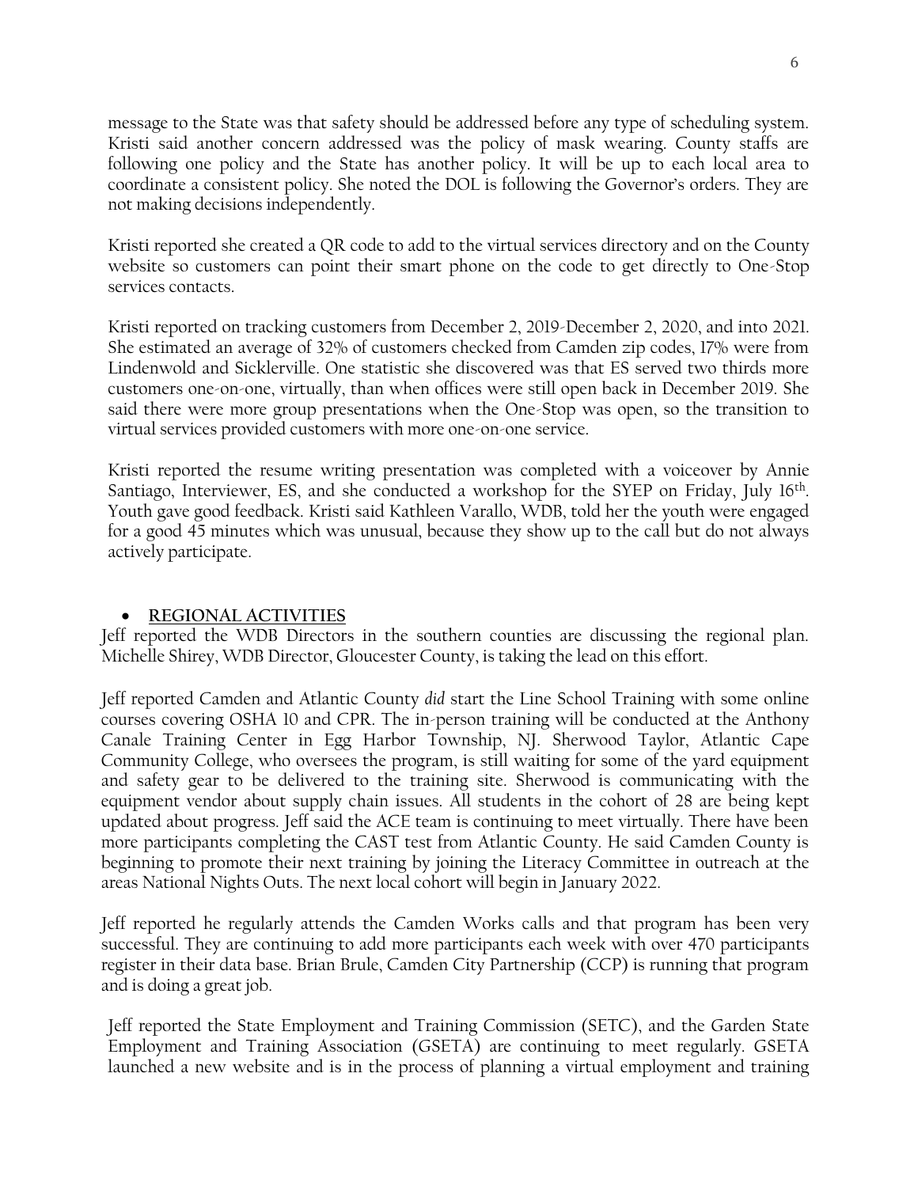message to the State was that safety should be addressed before any type of scheduling system. Kristi said another concern addressed was the policy of mask wearing. County staffs are following one policy and the State has another policy. It will be up to each local area to coordinate a consistent policy. She noted the DOL is following the Governor's orders. They are not making decisions independently.

Kristi reported she created a QR code to add to the virtual services directory and on the County website so customers can point their smart phone on the code to get directly to One-Stop services contacts.

Kristi reported on tracking customers from December 2, 2019-December 2, 2020, and into 2021. She estimated an average of 32% of customers checked from Camden zip codes, 17% were from Lindenwold and Sicklerville. One statistic she discovered was that ES served two thirds more customers one-on-one, virtually, than when offices were still open back in December 2019. She said there were more group presentations when the One-Stop was open, so the transition to virtual services provided customers with more one-on-one service.

Kristi reported the resume writing presentation was completed with a voiceover by Annie Santiago, Interviewer, ES, and she conducted a workshop for the SYEP on Friday, July 16<sup>th</sup>. Youth gave good feedback. Kristi said Kathleen Varallo, WDB, told her the youth were engaged for a good 45 minutes which was unusual, because they show up to the call but do not always actively participate.

## • **REGIONAL ACTIVITIES**

Jeff reported the WDB Directors in the southern counties are discussing the regional plan. Michelle Shirey, WDB Director, Gloucester County, is taking the lead on this effort.

Jeff reported Camden and Atlantic County *did* start the Line School Training with some online courses covering OSHA 10 and CPR. The in-person training will be conducted at the Anthony Canale Training Center in Egg Harbor Township, NJ. Sherwood Taylor, Atlantic Cape Community College, who oversees the program, is still waiting for some of the yard equipment and safety gear to be delivered to the training site. Sherwood is communicating with the equipment vendor about supply chain issues. All students in the cohort of 28 are being kept updated about progress. Jeff said the ACE team is continuing to meet virtually. There have been more participants completing the CAST test from Atlantic County. He said Camden County is beginning to promote their next training by joining the Literacy Committee in outreach at the areas National Nights Outs. The next local cohort will begin in January 2022.

Jeff reported he regularly attends the Camden Works calls and that program has been very successful. They are continuing to add more participants each week with over 470 participants register in their data base. Brian Brule, Camden City Partnership (CCP) is running that program and is doing a great job.

Jeff reported the State Employment and Training Commission (SETC), and the Garden State Employment and Training Association (GSETA) are continuing to meet regularly. GSETA launched a new website and is in the process of planning a virtual employment and training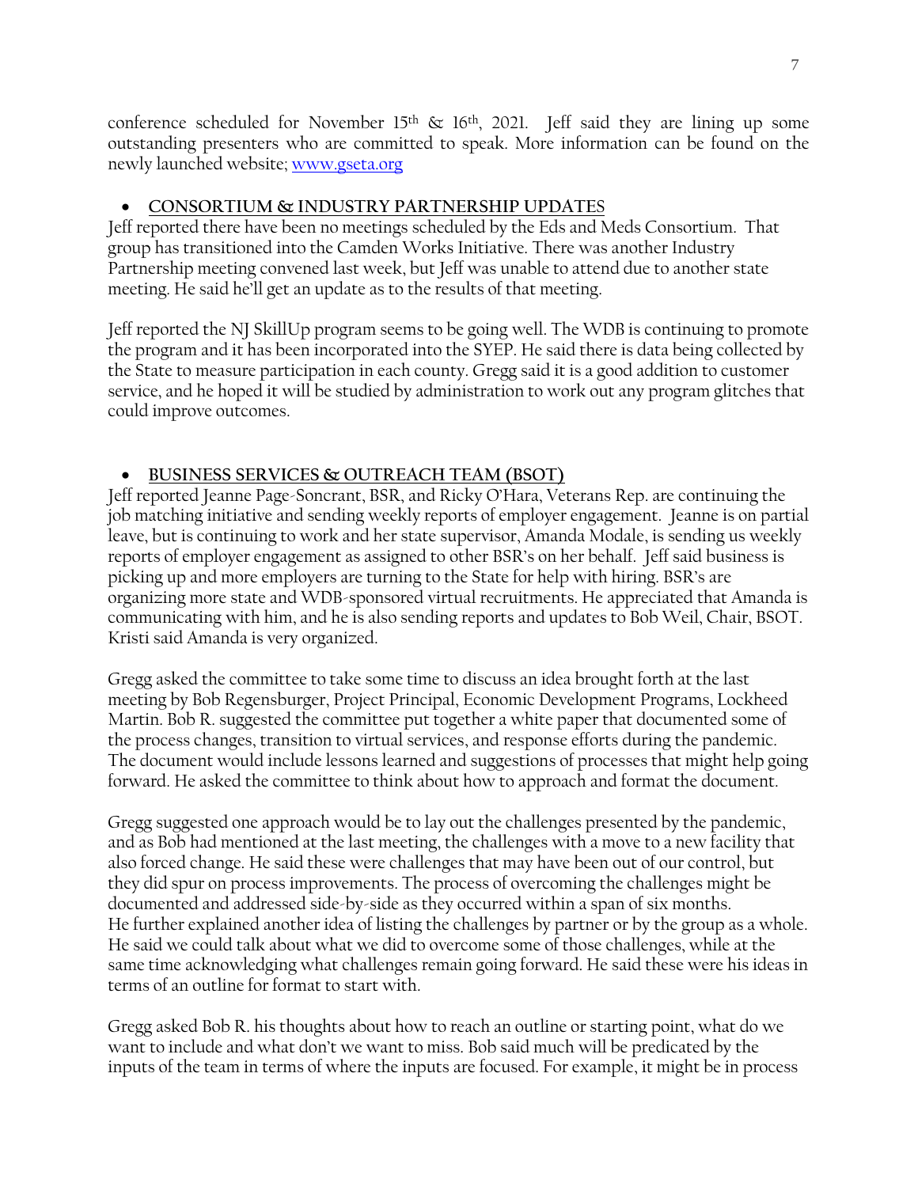conference scheduled for November 15<sup>th</sup>  $\&$  16<sup>th</sup>, 2021. Jeff said they are lining up some outstanding presenters who are committed to speak. More information can be found on the newly launched website[; www.gseta.org](http://www.gseta.org/)

# • **CONSORTIUM & INDUSTRY PARTNERSHIP UPDATE**S

Jeff reported there have been no meetings scheduled by the Eds and Meds Consortium. That group has transitioned into the Camden Works Initiative. There was another Industry Partnership meeting convened last week, but Jeff was unable to attend due to another state meeting. He said he'll get an update as to the results of that meeting.

Jeff reported the NJ SkillUp program seems to be going well. The WDB is continuing to promote the program and it has been incorporated into the SYEP. He said there is data being collected by the State to measure participation in each county. Gregg said it is a good addition to customer service, and he hoped it will be studied by administration to work out any program glitches that could improve outcomes.

# • **BUSINESS SERVICES & OUTREACH TEAM (BSOT)**

Jeff reported Jeanne Page-Soncrant, BSR, and Ricky O'Hara, Veterans Rep. are continuing the job matching initiative and sending weekly reports of employer engagement. Jeanne is on partial leave, but is continuing to work and her state supervisor, Amanda Modale, is sending us weekly reports of employer engagement as assigned to other BSR's on her behalf. Jeff said business is picking up and more employers are turning to the State for help with hiring. BSR's are organizing more state and WDB-sponsored virtual recruitments. He appreciated that Amanda is communicating with him, and he is also sending reports and updates to Bob Weil, Chair, BSOT. Kristi said Amanda is very organized.

Gregg asked the committee to take some time to discuss an idea brought forth at the last meeting by Bob Regensburger, Project Principal, Economic Development Programs, Lockheed Martin. Bob R. suggested the committee put together a white paper that documented some of the process changes, transition to virtual services, and response efforts during the pandemic. The document would include lessons learned and suggestions of processes that might help going forward. He asked the committee to think about how to approach and format the document.

Gregg suggested one approach would be to lay out the challenges presented by the pandemic, and as Bob had mentioned at the last meeting, the challenges with a move to a new facility that also forced change. He said these were challenges that may have been out of our control, but they did spur on process improvements. The process of overcoming the challenges might be documented and addressed side-by-side as they occurred within a span of six months. He further explained another idea of listing the challenges by partner or by the group as a whole. He said we could talk about what we did to overcome some of those challenges, while at the same time acknowledging what challenges remain going forward. He said these were his ideas in terms of an outline for format to start with.

Gregg asked Bob R. his thoughts about how to reach an outline or starting point, what do we want to include and what don't we want to miss. Bob said much will be predicated by the inputs of the team in terms of where the inputs are focused. For example, it might be in process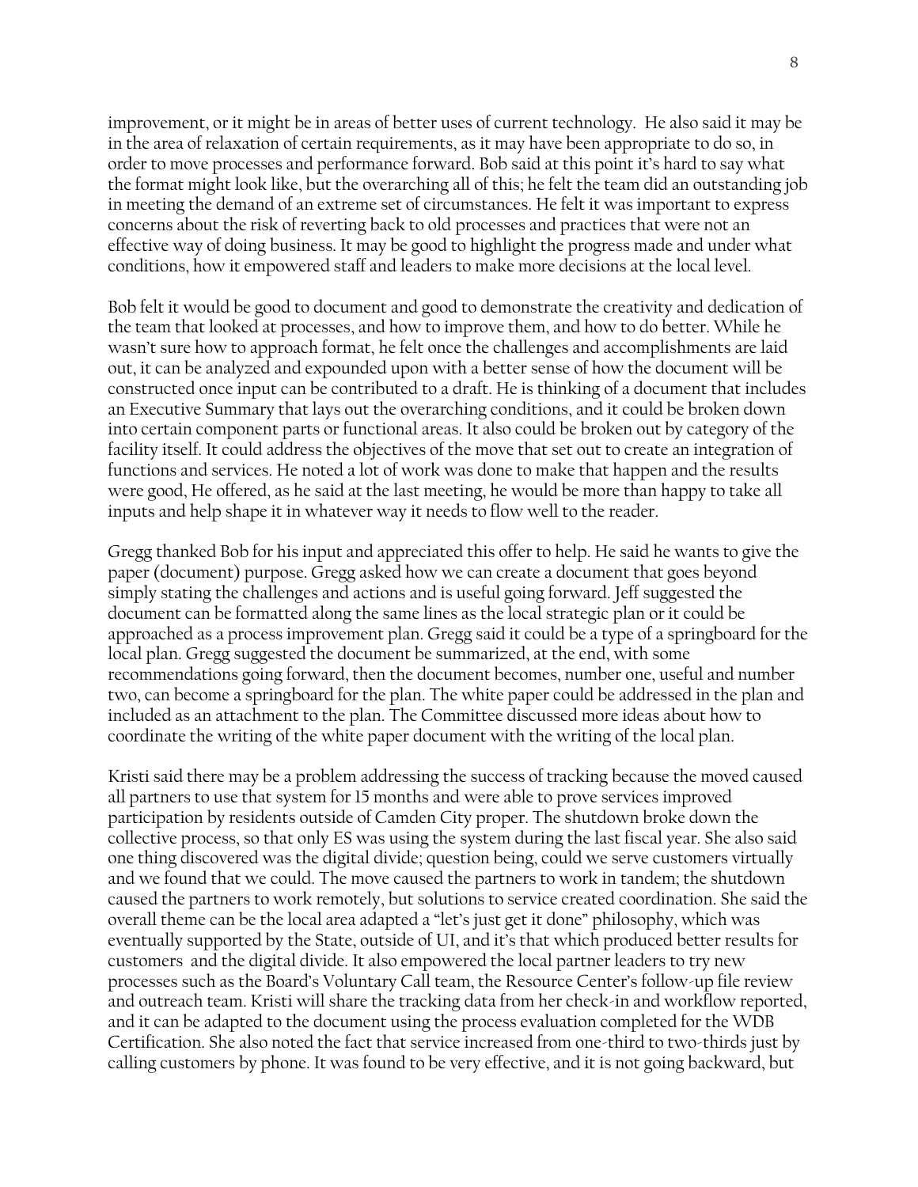improvement, or it might be in areas of better uses of current technology. He also said it may be in the area of relaxation of certain requirements, as it may have been appropriate to do so, in order to move processes and performance forward. Bob said at this point it's hard to say what the format might look like, but the overarching all of this; he felt the team did an outstanding job in meeting the demand of an extreme set of circumstances. He felt it was important to express concerns about the risk of reverting back to old processes and practices that were not an effective way of doing business. It may be good to highlight the progress made and under what conditions, how it empowered staff and leaders to make more decisions at the local level.

Bob felt it would be good to document and good to demonstrate the creativity and dedication of the team that looked at processes, and how to improve them, and how to do better. While he wasn't sure how to approach format, he felt once the challenges and accomplishments are laid out, it can be analyzed and expounded upon with a better sense of how the document will be constructed once input can be contributed to a draft. He is thinking of a document that includes an Executive Summary that lays out the overarching conditions, and it could be broken down into certain component parts or functional areas. It also could be broken out by category of the facility itself. It could address the objectives of the move that set out to create an integration of functions and services. He noted a lot of work was done to make that happen and the results were good, He offered, as he said at the last meeting, he would be more than happy to take all inputs and help shape it in whatever way it needs to flow well to the reader.

Gregg thanked Bob for his input and appreciated this offer to help. He said he wants to give the paper (document) purpose. Gregg asked how we can create a document that goes beyond simply stating the challenges and actions and is useful going forward. Jeff suggested the document can be formatted along the same lines as the local strategic plan or it could be approached as a process improvement plan. Gregg said it could be a type of a springboard for the local plan. Gregg suggested the document be summarized, at the end, with some recommendations going forward, then the document becomes, number one, useful and number two, can become a springboard for the plan. The white paper could be addressed in the plan and included as an attachment to the plan. The Committee discussed more ideas about how to coordinate the writing of the white paper document with the writing of the local plan.

Kristi said there may be a problem addressing the success of tracking because the moved caused all partners to use that system for 15 months and were able to prove services improved participation by residents outside of Camden City proper. The shutdown broke down the collective process, so that only ES was using the system during the last fiscal year. She also said one thing discovered was the digital divide; question being, could we serve customers virtually and we found that we could. The move caused the partners to work in tandem; the shutdown caused the partners to work remotely, but solutions to service created coordination. She said the overall theme can be the local area adapted a "let's just get it done" philosophy, which was eventually supported by the State, outside of UI, and it's that which produced better results for customers and the digital divide. It also empowered the local partner leaders to try new processes such as the Board's Voluntary Call team, the Resource Center's follow-up file review and outreach team. Kristi will share the tracking data from her check-in and workflow reported, and it can be adapted to the document using the process evaluation completed for the WDB Certification. She also noted the fact that service increased from one-third to two-thirds just by calling customers by phone. It was found to be very effective, and it is not going backward, but